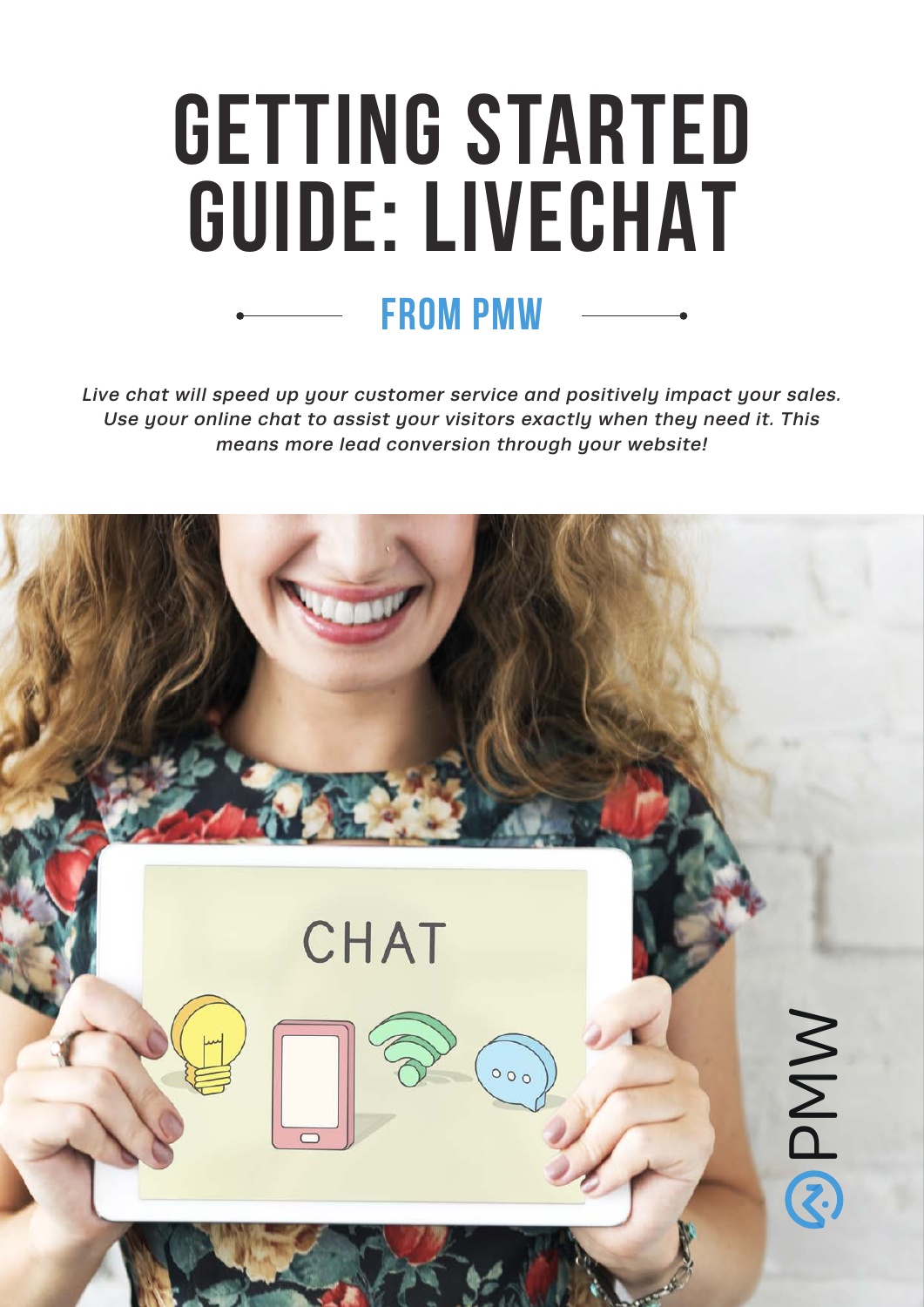# **GETTING STARTED GUIDE: LIVECHAT from pmw**

*Live chat will speed up your customer service and positively impact your sales. Use your online chat to assist your visitors exactly when they need it. This means more lead conversion through your website!*

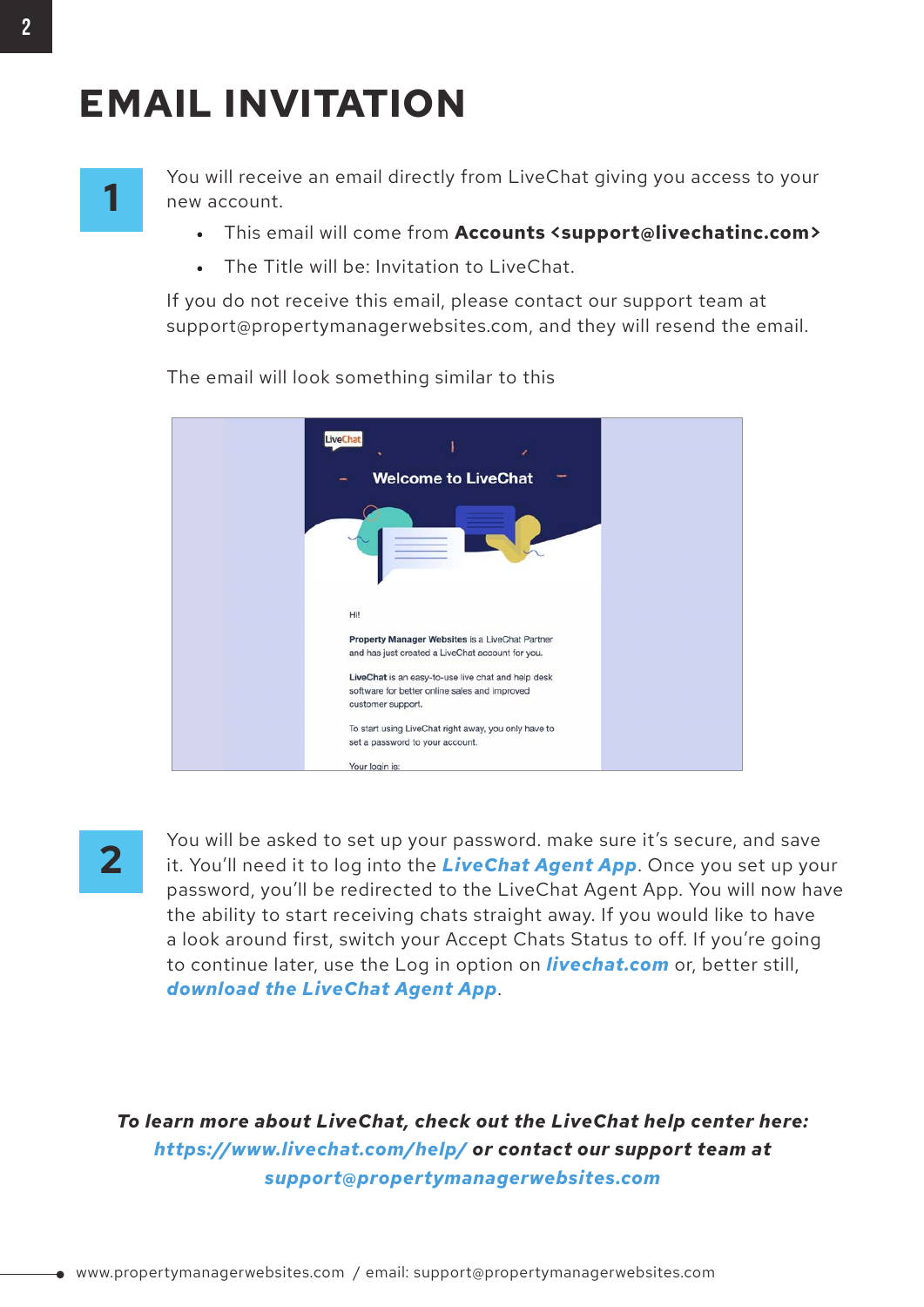### **EMAIL INVITATION**

## **1**

You will receive an email directly from LiveChat giving you access to your new account.

- This email will come from **Accounts <support@livechatinc.com>**
- The Title will be: Invitation to LiveChat.

If you do not receive this email, please contact our support team at support@propertymanagerwebsites.com, and they will resend the email.



The email will look something similar to this

**2**

You will be asked to set up your password. make sure it's secure, and save it. You'll need it to log into the *[LiveChat Agent App](https://accounts.livechat.com/?client_id=bb9e5b2f1ab480e4a715977b7b1b4279&response_type=token&redirect_uri=https%3A%2F%2Fmy.livechatinc.com&state=%7B%22redirectTo%22%3A%22home%22%7D)*. Once you set up your password, you'll be redirected to the LiveChat Agent App. You will now have the ability to start receiving chats straight away. If you would like to have a look around first, switch your Accept Chats Status to off. If you're going to continue later, use the Log in option on *[livechat.com](https://accounts.livechat.com/?client_id=bb9e5b2f1ab480e4a715977b7b1b4279&response_type=token&redirect_uri=https%3A%2F%2Fmy.livechatinc.com)* or, better still, *[download the LiveChat Agent App](https://www.livechat.com/app/)*.

*To learn more about LiveChat, check out the LiveChat help center here: https://www.livechat.com/help/ or contact our support team at support@propertymanagerwebsites.com*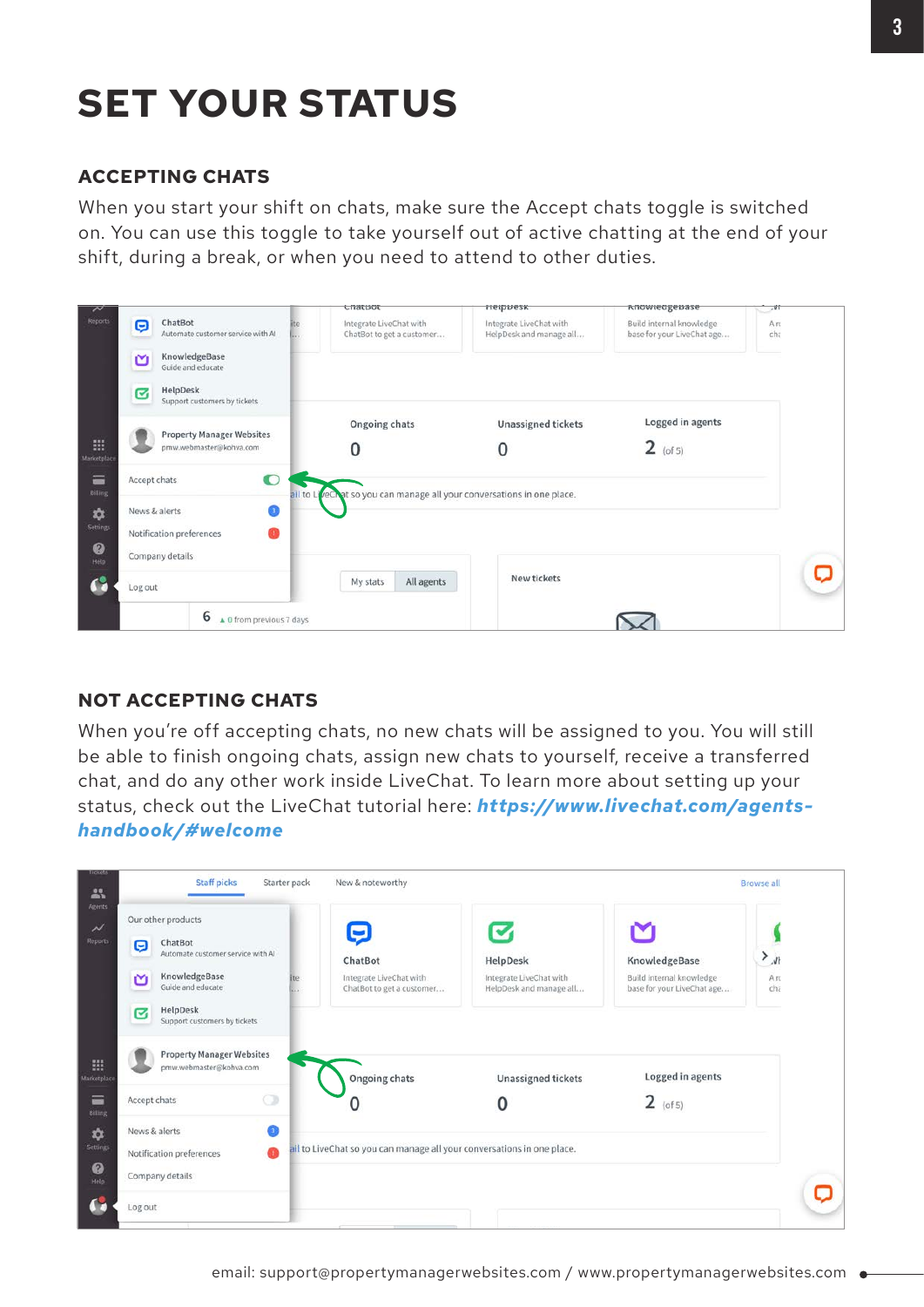### **SET YOUR STATUS**

#### **ACCEPTING CHATS**

When you start your shift on chats, make sure the Accept chats toggle is switched on. You can use this toggle to take yourself out of active chatting at the end of your shift, during a break, or when you need to attend to other duties.

|                     |                           |                                                             |                        | <b>URIQUOUT</b>                                                        | neippesk                                           | nnowieugepase                                          | .41       |
|---------------------|---------------------------|-------------------------------------------------------------|------------------------|------------------------------------------------------------------------|----------------------------------------------------|--------------------------------------------------------|-----------|
| Reports             | Θ                         | ChatBot<br>Automate customer service with AI                |                        | Integrate LiveChat with<br>ChatBot to get a customer                   | Integrate LiveChat with<br>HelpDesk and manage all | Build internal knowledge<br>base for your LiveChat age | Aπ<br>cha |
|                     | ≃                         | KnowledgeBase<br>Guide and educate                          |                        |                                                                        |                                                    |                                                        |           |
|                     | ☑                         | HelpDesk<br>Support customers by tickets                    |                        |                                                                        |                                                    |                                                        |           |
|                     |                           |                                                             |                        | Ongoing chats                                                          | <b>Unassigned tickets</b>                          | Logged in agents                                       |           |
| 冊<br>Marketplac     |                           | <b>Property Manager Websites</b><br>pmw.webmaster@kohva.com |                        | 0                                                                      |                                                    | $2$ (of 5)                                             |           |
| ≡<br><b>Billing</b> | $\bullet$<br>Accept chats |                                                             |                        | ail to LiveChat so you can manage all your conversations in one place. |                                                    |                                                        |           |
| ✿                   | News & alerts<br>Œ        |                                                             |                        |                                                                        |                                                    |                                                        |           |
| Settings            |                           | Notification preferences                                    |                        |                                                                        |                                                    |                                                        |           |
| ◉<br>Help           | Company details           |                                                             |                        |                                                                        |                                                    |                                                        |           |
| G                   | Log out                   |                                                             | All agents<br>My stats |                                                                        | New tickets                                        |                                                        |           |
|                     |                           | 6<br>A 0 from previous 7 days                               |                        |                                                                        |                                                    |                                                        |           |

#### **NOT ACCEPTING CHATS**

When you're off accepting chats, no new chats will be assigned to you. You will still be able to finish ongoing chats, assign new chats to yourself, receive a transferred chat, and do any other work inside LiveChat. To learn more about setting up your status, check out the LiveChat tutorial here: *https://www.livechat.com/agentshandbook/#welcome*

| Our other products                                          | Ç                                                           | $\blacktriangledown$                                                   |                                                        |                        |
|-------------------------------------------------------------|-------------------------------------------------------------|------------------------------------------------------------------------|--------------------------------------------------------|------------------------|
| ChatBot<br>Θ<br>Automate customer service with Al           | ChatBot                                                     | HelpDesk                                                               | KnowledgeBase                                          | $\lambda$              |
| KnowledgeBase<br>M<br>Guide and educate                     | Integrate LiveChat with<br>ite<br>ChatBot to get a customer | Integrate LiveChat with<br>HelpDesk and manage all                     | Build internal knowledge<br>base for your LiveChat age | Arc<br>ch <sub>z</sub> |
| HelpDesk<br>Ø<br>Support customers by tickets               |                                                             |                                                                        |                                                        |                        |
| <b>Property Manager Websites</b><br>pmw.webmaster@kohva.com | Ongoing chats                                               | <b>Unassigned tickets</b>                                              | Logged in agents                                       |                        |
| o<br>Accept chats                                           | 0                                                           |                                                                        | $2$ (of 5)                                             |                        |
| Ω<br>News & alerts                                          |                                                             |                                                                        |                                                        |                        |
| œ<br>Notification preferences                               |                                                             | ail to LiveChat so you can manage all your conversations in one place. |                                                        |                        |
| Company details                                             |                                                             |                                                                        |                                                        |                        |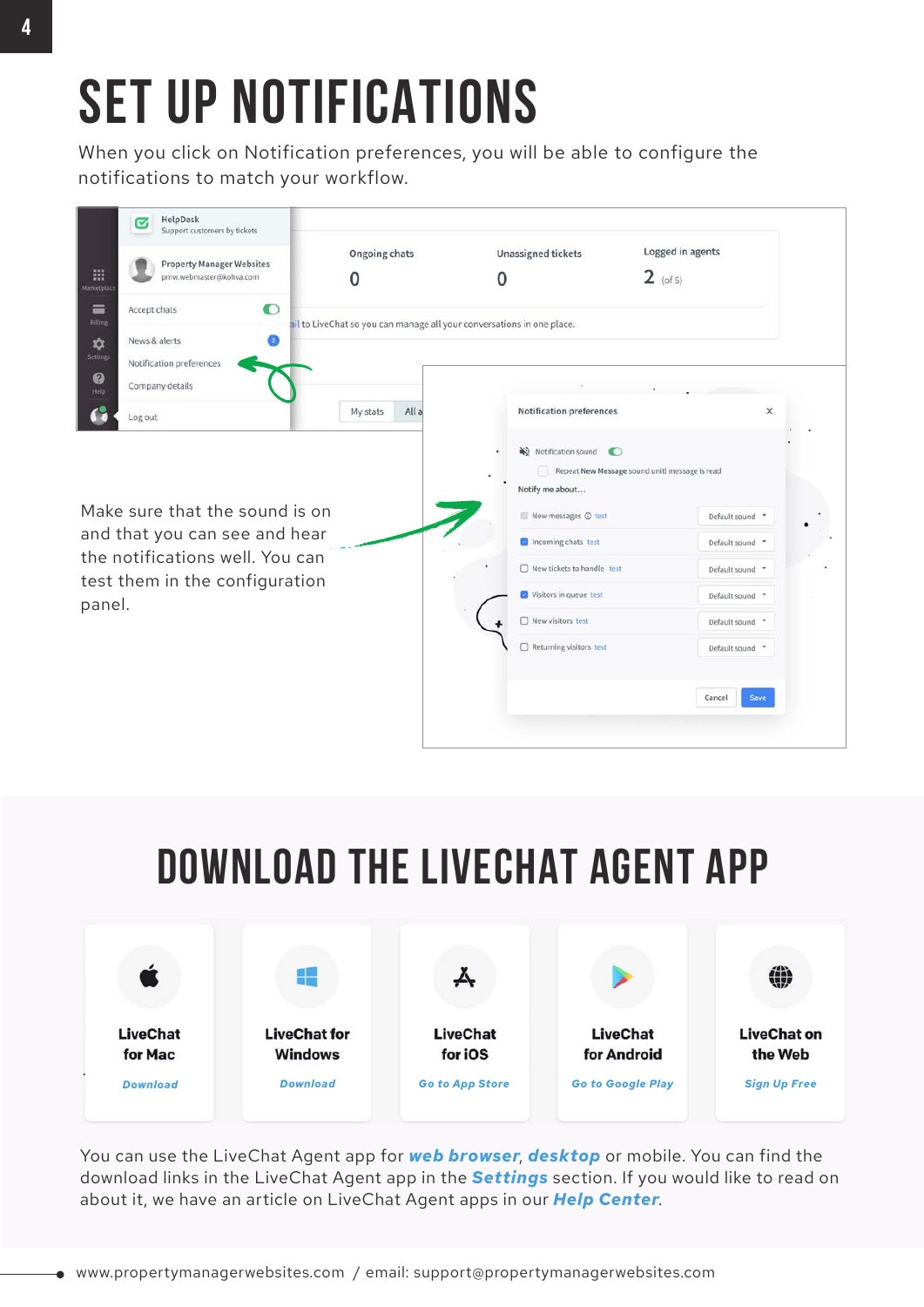# **SET UP NOTIFICATIONS**

When you click on Notification preferences, you will be able to configure the notifications to match your workflow.



## **DOWNLOAD THE LIVECHAT AGENT APP**



You can use the LiveChat Agent app for *[web browser](https://accounts.livechat.com/?client_id=bb9e5b2f1ab480e4a715977b7b1b4279&response_type=token&redirect_uri=https%3A%2F%2Fmy.livechatinc.com&state=%7B%22redirectTo%22%3A%22home%22%7D)*, *[desktop](https://www.livechat.com/app/livechat-for-mac/)* or mobile. You can find the download links in the LiveChat Agent app in the *[Settings](https://accounts.livechat.com/?client_id=bb9e5b2f1ab480e4a715977b7b1b4279&response_type=token&redirect_uri=https%3A%2F%2Fmy.livechatinc.com&state=%7B%22redirectTo%22%3A%22settings%252Fdownload-apps%22%7D)* section. If you would like to read on about it, we have an article on LiveChat Agent apps in our *[Help Center](https://www.livechat.com/help/web-desktop-and-mobile-applications/)*.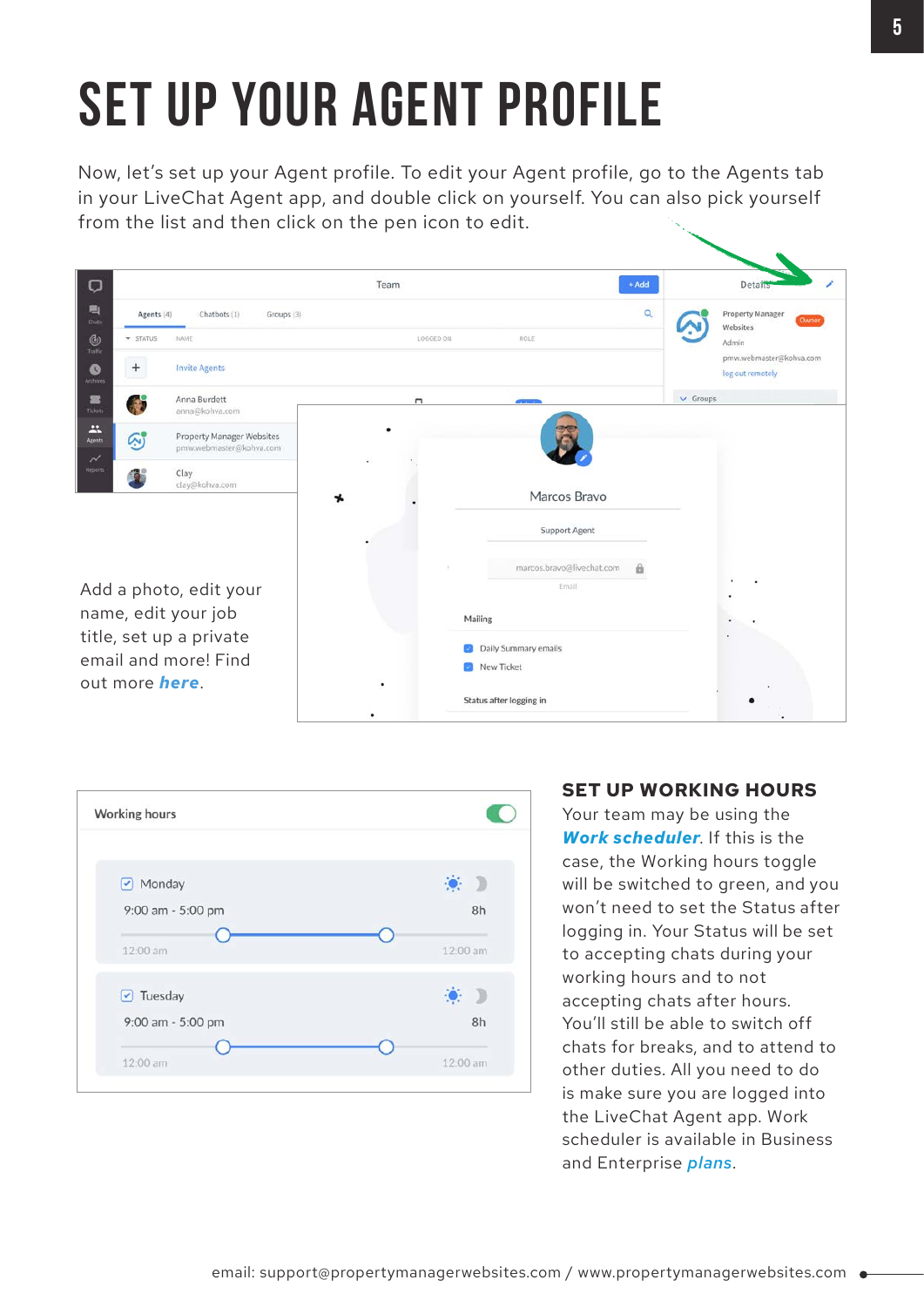# **SET UP YOUR AGENT PROFILE**

Now, let's set up your Agent profile. To edit your Agent profile, go to the Agents tab in your LiveChat Agent app, and double click on yourself. You can also pick yourself from the list and then click on the pen icon to edit.





#### **SET UP WORKING HOURS**

Your team may be using the *[Work scheduler](https://www.livechat.com/help/configuring-the-work-scheduler/)*. If this is the case, the Working hours toggle will be switched to green, and you won't need to set the Status after logging in. Your Status will be set to accepting chats during your working hours and to not accepting chats after hours. You'll still be able to switch off chats for breaks, and to attend to other duties. All you need to do is make sure you are logged into the LiveChat Agent app. Work scheduler is available in Business and Enterprise *[plans](https://www.livechat.com/pricing/)*.